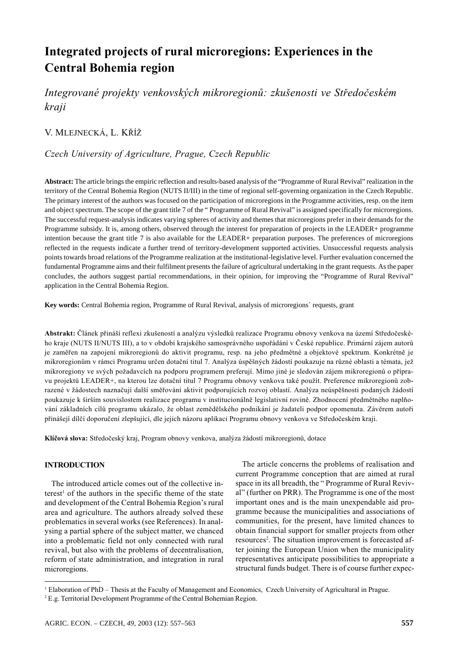# Integrated projects of rural microregions: Experiences in the Central Bohemia region

## Integrované projekty venkovských mikroregionů: zkušenosti ve Středočeském kraji

## V. MLEJNECKÁ, L. KŘÍŽ

### Czech University of Agriculture, Prague, Czech Republic

Abstract: The article brings the empiric reflection and results-based analysis of the "Programme of Rural Revival" realization in the territory of the Central Bohemia Region (NUTS II/III) in the time of regional self-governing organization in the Czech Republic. The primary interest of the authors was focused on the participation of microregions in the Programme activities, resp. on the item and object spectrum. The scope of the grant title 7 of the "Programme of Rural Revival" is assigned specifically for microregions. The successful request-analysis indicates varying spheres of activity and themes that microregions prefer in their demands for the Programme subsidy. It is, among others, observed through the interest for preparation of projects in the LEADER+ programme intention because the grant title 7 is also available for the LEADER+ preparation purposes. The preferences of microregions reflected in the requests indicate a further trend of territory-development supported activities. Unsuccessful requests analysis points towards broad relations of the Programme realization at the institutional-legislative level. Further evaluation concerned the fundamental Programme aims and their fulfilment presents the failure of agricultural undertaking in the grant requests. As the paper concludes, the authors suggest partial recommendations, in their opinion, for improving the "Programme of Rural Revival" application in the Central Bohemia Region.

Key words: Central Bohemia region, Programme of Rural Revival, analysis of microregions' requests, grant

Abstrakt: Článek přináší reflexi zkušeností a analýzu výsledků realizace Programu obnovy venkova na území Středočeského kraje (NUTS II/NUTS III), a to v období krajského samosprávného uspořádání v České republice. Primární zájem autorů je zaměřen na zapojení mikroregionů do aktivit programu, resp. na jeho předmětné a objektové spektrum. Konkrétně je mikroregionům v rámci Programu určen dotační titul 7. Analýza úspěšných žádostí poukazuje na různé oblasti a témata, jež mikroregiony ve svých požadavcích na podporu programem preferují. Mimo jiné je sledován zájem mikroregionů o přípravu projektů LEADER+, na kterou lze dotační titul 7 Programu obnovy venkova také použít. Preference mikroregionů zobrazené v žádostech naznačují další směřování aktivit podporujících rozvoj oblastí. Analýza neúspěšnosti podaných žádostí poukazuje k širším souvislostem realizace programu v institucionálně legislativní rovině. Zhodnocení předmětného naplňování základních cílů programu ukázalo, že oblast zemědělského podnikání je žadateli podpor opomenuta. Závěrem autoři přinášejí dílčí doporučení zlepšující, dle jejich názoru aplikaci Programu obnovy venkova ve Středočeském kraji.

Klíčová slova: Středočeský kraj, Program obnovy venkova, analýza žádostí mikroregionů, dotace

#### **INTRODUCTION**

The introduced article comes out of the collective interest<sup>1</sup> of the authors in the specific theme of the state and development of the Central Bohemia Region's rural area and agriculture. The authors already solved these problematics in several works (see References). In analysing a partial sphere of the subject matter, we chanced into a problematic field not only connected with rural revival, but also with the problems of decentralisation, reform of state administration, and integration in rural microregions.

The article concerns the problems of realisation and current Programme conception that are aimed at rural space in its all breadth, the "Programme of Rural Revival" (further on PRR). The Programme is one of the most important ones and is the main unexpendable aid programme because the municipalities and associations of communities, for the present, have limited chances to obtain financial support for smaller projects from other resources<sup>2</sup>. The situation improvement is forecasted after joining the European Union when the municipality representatives anticipate possibilities to appropriate a structural funds budget. There is of course further expec-

<sup>&</sup>lt;sup>1</sup> Elaboration of PhD - Thesis at the Faculty of Management and Economics, Czech University of Agricultural in Prague.

<sup>&</sup>lt;sup>2</sup> E.g. Territorial Development Programme of the Central Bohemian Region.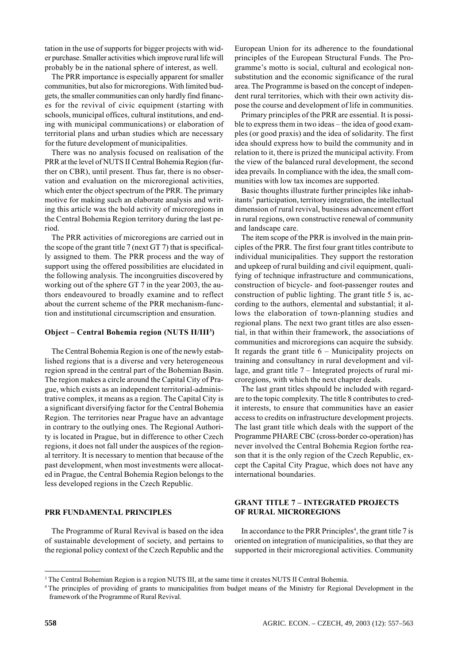tation in the use of supports for bigger projects with wider purchase. Smaller activities which improve rural life will probably be in the national sphere of interest, as well.

The PRR importance is especially apparent for smaller communities, but also for microregions. With limited budgets, the smaller communities can only hardly find finances for the revival of civic equipment (starting with schools, municipal offices, cultural institutions, and ending with municipal communications) or elaboration of territorial plans and urban studies which are necessary for the future development of municipalities.

There was no analysis focused on realisation of the PRR at the level of NUTS II Central Bohemia Region (further on CBR), until present. Thus far, there is no observation and evaluation on the microregional activities, which enter the object spectrum of the PRR. The primary motive for making such an elaborate analysis and writing this article was the bold activity of microregions in the Central Bohemia Region territory during the last period.

The PRR activities of microregions are carried out in the scope of the grant title 7 (next GT 7) that is specifically assigned to them. The PRR process and the way of support using the offered possibilities are elucidated in the following analysis. The incongruities discovered by working out of the sphere GT 7 in the year 2003, the authors endeavoured to broadly examine and to reflect about the current scheme of the PRR mechanism-function and institutional circumscription and ensuration.

#### Object – Central Bohemia region (NUTS II/III<sup>3</sup>)

The Central Bohemia Region is one of the newly established regions that is a diverse and very heterogeneous region spread in the central part of the Bohemian Basin. The region makes a circle around the Capital City of Prague, which exists as an independent territorial-administrative complex, it means as a region. The Capital City is a significant diversifying factor for the Central Bohemia Region. The territories near Prague have an advantage in contrary to the outlying ones. The Regional Authority is located in Prague, but in difference to other Czech regions, it does not fall under the auspices of the regional territory. It is necessary to mention that because of the past development, when most investments were allocated in Prague, the Central Bohemia Region belongs to the less developed regions in the Czech Republic.

#### PRR FUNDAMENTAL PRINCIPLES

The Programme of Rural Revival is based on the idea of sustainable development of society, and pertains to the regional policy context of the Czech Republic and the European Union for its adherence to the foundational principles of the European Structural Funds. The Programme's motto is social, cultural and ecological nonsubstitution and the economic significance of the rural area. The Programme is based on the concept of independent rural territories, which with their own activity dispose the course and development of life in communities.

Primary principles of the PRR are essential. It is possible to express them in two ideas – the idea of good examples (or good praxis) and the idea of solidarity. The first idea should express how to build the community and in relation to it, there is prized the municipal activity. From the view of the balanced rural development, the second idea prevails. In compliance with the idea, the small communities with low tax incomes are supported.

Basic thoughts illustrate further principles like inhabitants' participation, territory integration, the intellectual dimension of rural revival, business advancement effort in rural regions, own constructive renewal of community and landscape care.

The item scope of the PRR is involved in the main principles of the PRR. The first four grant titles contribute to individual municipalities. They support the restoration and upkeep of rural building and civil equipment, qualifying of technique infrastructure and communications, construction of bicycle- and foot-passenger routes and construction of public lighting. The grant title 5 is, according to the authors, elemental and substantial; it allows the elaboration of town-planning studies and regional plans. The next two grant titles are also essential, in that within their framework, the associations of communities and microregions can acquire the subsidy. It regards the grant title  $6$  – Municipality projects on training and consultancy in rural development and village, and grant title 7 – Integrated projects of rural microregions, with which the next chapter deals.

The last grant titles shpould be included with regardare to the topic complexity. The title 8 contributes to credit interests, to ensure that communities have an easier access to credits on infrastructure development projects. The last grant title which deals with the support of the Programme PHARE CBC (cross-border co-operation) has never involved the Central Bohemia Region forthe reason that it is the only region of the Czech Republic, except the Capital City Prague, which does not have any international boundaries.

#### **GRANT TITLE 7 - INTEGRATED PROJECTS** OF RURAL MICROREGIONS

In accordance to the PRR Principles<sup>4</sup>, the grant title 7 is oriented on integration of municipalities, so that they are supported in their microregional activities. Community

<sup>&</sup>lt;sup>3</sup> The Central Bohemian Region is a region NUTS III, at the same time it creates NUTS II Central Bohemia.

<sup>&</sup>lt;sup>4</sup>The principles of providing of grants to municipalities from budget means of the Ministry for Regional Development in the framework of the Programme of Rural Revival.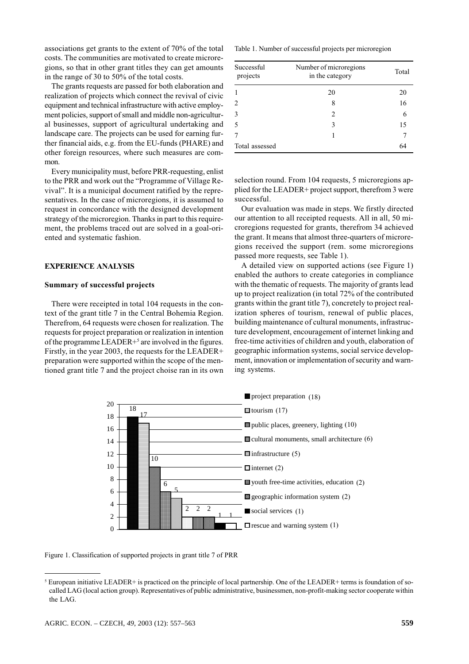associations get grants to the extent of 70% of the total costs. The communities are motivated to create microregions, so that in other grant titles they can get amounts in the range of 30 to 50% of the total costs.

The grants requests are passed for both elaboration and realization of projects which connect the revival of civic equipment and technical infrastructure with active employment policies, support of small and middle non-agricultural businesses, support of agricultural undertaking and landscape care. The projects can be used for earning further financial aids, e.g. from the EU-funds (PHARE) and other foreign resources, where such measures are common.

Every municipality must, before PRR-requesting, enlist to the PRR and work out the "Programme of Village Revival". It is a municipal document ratified by the representatives. In the case of microregions, it is assumed to request in concordance with the designed development strategy of the microregion. Thanks in part to this requirement, the problems traced out are solved in a goal-oriented and systematic fashion.

#### **EXPERIENCE ANALYSIS**

#### **Summary of successful projects**

There were receipted in total 104 requests in the context of the grant title 7 in the Central Bohemia Region. Therefrom, 64 requests were chosen for realization. The requests for project preparation or realization in intention of the programme LEADER+<sup>5</sup> are involved in the figures. Firstly, in the year 2003, the requests for the LEADER+ preparation were supported within the scope of the mentioned grant title 7 and the project choise ran in its own

|  |  | Table 1. Number of successful projects per microregion |  |  |
|--|--|--------------------------------------------------------|--|--|
|  |  |                                                        |  |  |

| Successful<br>projects | Number of microregions<br>in the category | Total |
|------------------------|-------------------------------------------|-------|
|                        | 20                                        | 20    |
|                        | 8                                         | 16    |
| 3                      | $\mathcal{D}_{\mathcal{L}}$               | 6     |
|                        | 3                                         | 15    |
|                        |                                           |       |
| Total assessed         |                                           |       |

selection round. From 104 requests, 5 microregions applied for the LEADER+ project support, therefrom 3 were successful.

Our evaluation was made in steps. We firstly directed our attention to all receipted requests. All in all, 50 microregions requested for grants, therefrom 34 achieved the grant. It means that almost three-quarters of microregions received the support (rem. some microregions passed more requests, see Table 1).

A detailed view on supported actions (see Figure 1) enabled the authors to create categories in compliance with the thematic of requests. The majority of grants lead up to project realization (in total 72% of the contributed grants within the grant title 7), concretely to project realization spheres of tourism, renewal of public places, building maintenance of cultural monuments, infrastructure development, encouragement of internet linking and free-time activities of children and vouth, elaboration of geographic information systems, social service development, innovation or implementation of security and warning systems.



Figure 1. Classification of supported projects in grant title 7 of PRR

<sup>&</sup>lt;sup>5</sup> European initiative LEADER+ is practiced on the principle of local partnership. One of the LEADER+ terms is foundation of socalled LAG (local action group). Representatives of public administrative, businessmen, non-profit-making sector cooperate within the LAG.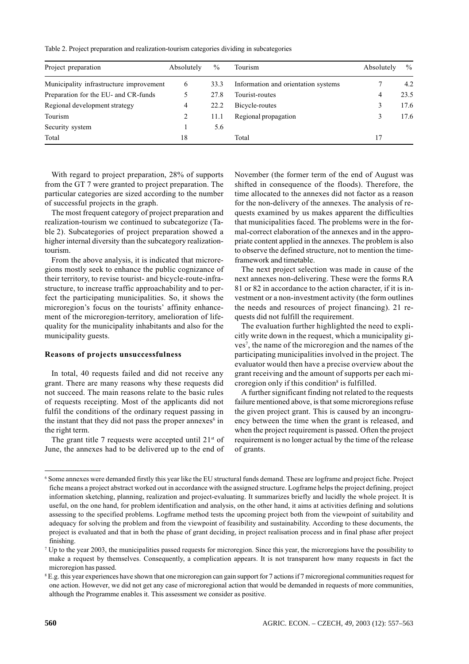Table 2. Project preparation and realization-tourism categories dividing in subcategories

| Project preparation                     | Absolutely | $\frac{0}{0}$ | Tourism                             | Absolutely | $\frac{0}{0}$ |
|-----------------------------------------|------------|---------------|-------------------------------------|------------|---------------|
| Municipality infrastructure improvement | 6          | 33.3          | Information and orientation systems |            | 4.2           |
| Preparation for the EU- and CR-funds    |            | 27.8          | Tourist-routes                      | 4          | 23.5          |
| Regional development strategy           | 4          | 22.2          | Bicycle-routes                      | 3          | 17.6          |
| Tourism                                 |            | 11.1          | Regional propagation                | 3          | 17.6          |
| Security system                         |            | 5.6           |                                     |            |               |
| Total                                   | 18         |               | Total                               | 17         |               |

With regard to project preparation, 28% of supports from the GT 7 were granted to project preparation. The particular categories are sized according to the number of successful projects in the graph.

The most frequent category of project preparation and realization-tourism we continued to subcategorize (Table 2). Subcategories of project preparation showed a higher internal diversity than the subcategory realizationtourism.

From the above analysis, it is indicated that microregions mostly seek to enhance the public cognizance of their territory, to revise tourist- and bicycle-route-infrastructure, to increase traffic approachability and to perfect the participating municipalities. So, it shows the microregion's focus on the tourists' affinity enhancement of the microregion-territory, amelioration of lifequality for the municipality inhabitants and also for the municipality guests.

#### **Reasons of projects unsuccessfulness**

In total, 40 requests failed and did not receive any grant. There are many reasons why these requests did not succeed. The main reasons relate to the basic rules of requests receipting. Most of the applicants did not fulfil the conditions of the ordinary request passing in the instant that they did not pass the proper annexes<sup>6</sup> in the right term.

The grant title 7 requests were accepted until  $21<sup>st</sup>$  of June, the annexes had to be delivered up to the end of November (the former term of the end of August was shifted in consequence of the floods). Therefore, the time allocated to the annexes did not factor as a reason for the non-delivery of the annexes. The analysis of requests examined by us makes apparent the difficulties that municipalities faced. The problems were in the formal-correct elaboration of the annexes and in the appropriate content applied in the annexes. The problem is also to observe the defined structure, not to mention the timeframework and timetable.

The next project selection was made in cause of the next annexes non-delivering. These were the forms RA 81 or 82 in accordance to the action character, if it is investment or a non-investment activity (the form outlines the needs and resources of project financing). 21 requests did not fulfill the requirement.

The evaluation further highlighted the need to explicitly write down in the request, which a municipality gives<sup>7</sup>, the name of the microregion and the names of the participating municipalities involved in the project. The evaluator would then have a precise overview about the grant receiving and the amount of supports per each microregion only if this condition<sup>8</sup> is fulfilled.

A further significant finding not related to the requests failure mentioned above, is that some microregions refuse the given project grant. This is caused by an incongruency between the time when the grant is released, and when the project requirement is passed. Often the project requirement is no longer actual by the time of the release of grants.

<sup>&</sup>lt;sup>6</sup> Some annexes were demanded firstly this year like the EU structural funds demand. These are logframe and project fiche. Project fiche means a project abstract worked out in accordance with the assigned structure. Logframe helps the project defining, project information sketching, planning, realization and project-evaluating. It summarizes briefly and lucidly the whole project. It is useful, on the one hand, for problem identification and analysis, on the other hand, it aims at activities defining and solutions assessing to the specified problems. Logframe method tests the upcoming project both from the viewpoint of suitability and adequacy for solving the problem and from the viewpoint of feasibility and sustainability. According to these documents, the project is evaluated and that in both the phase of grant deciding, in project realisation process and in final phase after project finishing.

 $\sigma$  Up to the year 2003, the municipalities passed requests for microregion. Since this year, the microregions have the possibility to make a request by themselves. Consequently, a complication appears. It is not transparent how many requests in fact the microregion has passed.

<sup>&</sup>lt;sup>8</sup> E.g. this year experiences have shown that one microregion can gain support for 7 actions if 7 microregional communities request for one action. However, we did not get any case of microregional action that would be demanded in requests of more communities, although the Programme enables it. This assessment we consider as positive.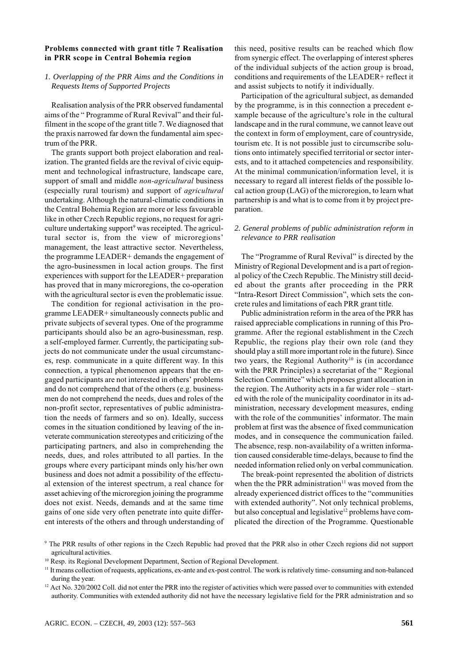#### Problems connected with grant title 7 Realisation in PRR scope in Central Bohemia region

#### 1. Overlapping of the PRR Aims and the Conditions in **Requests Items of Supported Projects**

Realisation analysis of the PRR observed fundamental aims of the "Programme of Rural Revival" and their fulfilment in the scope of the grant title 7. We diagnosed that the praxis narrowed far down the fundamental aim spectrum of the PRR.

The grants support both project elaboration and realization. The granted fields are the revival of civic equipment and technological infrastructure, landscape care, support of small and middle non-agricultural business (especially rural tourism) and support of *agricultural* undertaking. Although the natural-climatic conditions in the Central Bohemia Region are more or less favourable like in other Czech Republic regions, no request for agriculture undertaking support<sup>9</sup> was receipted. The agricultural sector is, from the view of microregions' management, the least attractive sector. Nevertheless, the programme LEADER+ demands the engagement of the agro-businessmen in local action groups. The first experiences with support for the LEADER+ preparation has proved that in many microregions, the co-operation with the agricultural sector is even the problematic issue.

The condition for regional activisation in the programme LEADER+ simultaneously connects public and private subjects of several types. One of the programme participants should also be an agro-businessman, resp. a self-employed farmer. Currently, the participating subjects do not communicate under the usual circumstances, resp. communicate in a quite different way. In this connection, a typical phenomenon appears that the engaged participants are not interested in others' problems and do not comprehend that of the others (e.g. businessmen do not comprehend the needs, dues and roles of the non-profit sector, representatives of public administration the needs of farmers and so on). Ideally, success comes in the situation conditioned by leaving of the inveterate communication stereotypes and criticizing of the participating partners, and also in comprehending the needs, dues, and roles attributed to all parties. In the groups where every participant minds only his/her own business and does not admit a possibility of the effectual extension of the interest spectrum, a real chance for asset achieving of the microregion joining the programme does not exist. Needs, demands and at the same time gains of one side very often penetrate into quite different interests of the others and through understanding of this need, positive results can be reached which flow from synergic effect. The overlapping of interest spheres of the individual subjects of the action group is broad, conditions and requirements of the LEADER+ reflect it and assist subjects to notify it individually.

Participation of the agricultural subject, as demanded by the programme, is in this connection a precedent example because of the agriculture's role in the cultural landscape and in the rural commune, we cannot leave out the context in form of employment, care of countryside, tourism etc. It is not possible just to circumscribe solutions onto intimately specified territorial or sector interests, and to it attached competencies and responsibility. At the minimal communication/information level, it is necessary to regard all interest fields of the possible local action group (LAG) of the microregion, to learn what partnership is and what is to come from it by project preparation.

#### 2. General problems of public administration reform in relevance to PRR realisation

The "Programme of Rural Revival" is directed by the Ministry of Regional Development and is a part of regional policy of the Czech Republic. The Ministry still decided about the grants after proceeding in the PRR "Intra-Resort Direct Commission", which sets the concrete rules and limitations of each PRR grant title.

Public administration reform in the area of the PRR has raised appreciable complications in running of this Programme. After the regional establishment in the Czech Republic, the regions play their own role (and they should play a still more important role in the future). Since two years, the Regional Authority<sup>10</sup> is (in accordance with the PRR Principles) a secretariat of the "Regional Selection Committee" which proposes grant allocation in the region. The Authority acts in a far wider role – started with the role of the municipality coordinator in its administration, necessary development measures, ending with the role of the communities' informator. The main problem at first was the absence of fixed communication modes, and in consequence the communication failed. The absence, resp. non-availability of a written information caused considerable time-delays, because to find the needed information relied only on verbal communication.

The break-point represented the abolition of districts when the the PRR administration<sup>11</sup> was moved from the already experienced district offices to the "communities" with extended authority". Not only technical problems, but also conceptual and legislative<sup>12</sup> problems have complicated the direction of the Programme. Questionable

<sup>&</sup>lt;sup>9</sup> The PRR results of other regions in the Czech Republic had proved that the PRR also in other Czech regions did not support agricultural activities.

<sup>&</sup>lt;sup>10</sup> Resp. its Regional Development Department, Section of Regional Development.

<sup>&</sup>lt;sup>11</sup> It means collection of requests, applications, ex-ante and ex-post control. The work is relatively time-consuming and non-balanced during the year.

 $12$  Act No. 320/2002 Coll. did not enter the PRR into the register of activities which were passed over to communities with extended authority. Communities with extended authority did not have the necessary legislative field for the PRR administration and so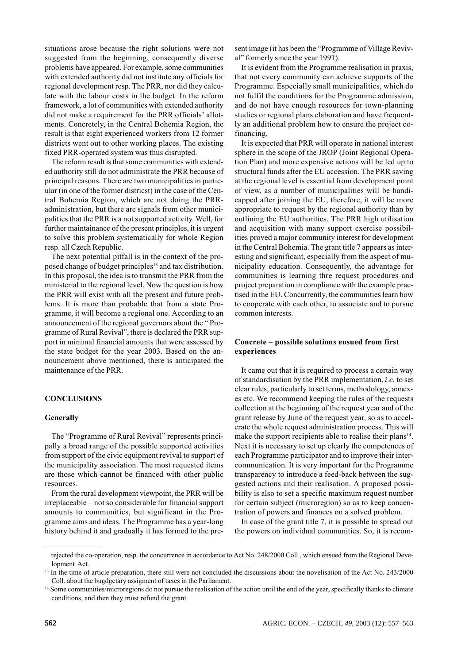situations arose because the right solutions were not suggested from the beginning, consequently diverse problems have appeared. For example, some communities with extended authority did not institute any officials for regional development resp. The PRR, nor did they calculate with the labour costs in the budget. In the reform framework, a lot of communities with extended authority did not make a requirement for the PRR officials' allotments. Concretely, in the Central Bohemia Region, the result is that eight experienced workers from 12 former districts went out to other working places. The existing fixed PRR-operated system was thus disrupted.

The reform result is that some communities with extended authority still do not administrate the PRR because of principal reasons. There are two municipalities in particular (in one of the former districst) in the case of the Central Bohemia Region, which are not doing the PRRadministration, but there are signals from other municipalities that the PRR is a not supported activity. Well, for further maintainance of the present principles, it is urgent to solve this problem systematically for whole Region resp. all Czech Republic.

The next potential pitfall is in the context of the proposed change of budget principles<sup>13</sup> and tax distribution. In this proposal, the idea is to transmit the PRR from the ministerial to the regional level. Now the question is how the PRR will exist with all the present and future problems. It is more than probable that from a state Programme, it will become a regional one. According to an announcement of the regional governors about the "Programme of Rural Revival", there is declared the PRR support in minimal financial amounts that were assessed by the state budget for the year 2003. Based on the announcement above mentioned, there is anticipated the maintenance of the PRR.

#### **CONCLUSIONS**

#### Generally

The "Programme of Rural Revival" represents principally a broad range of the possible supported activities from support of the civic equipment revival to support of the municipality association. The most requested items are those which cannot be financed with other public resources.

From the rural development viewpoint, the PRR will be irreplaceable – not so considerable for financial support amounts to communities, but significant in the Programme aims and ideas. The Programme has a year-long history behind it and gradually it has formed to the present image (it has been the "Programme of Village Revival" formerly since the year 1991).

It is evident from the Programme realisation in praxis. that not every community can achieve supports of the Programme. Especially small municipalities, which do not fulfil the conditions for the Programme admission, and do not have enough resources for town-planning studies or regional plans elaboration and have frequently an additional problem how to ensure the project cofinancing.

It is expected that PRR will operate in national interest sphere in the scope of the JROP (Joint Regional Operation Plan) and more expensive actions will be led up to structural funds after the EU accession. The PRR saving at the regional level is essential from development point of view, as a number of municipalities will be handicapped after joining the EU, therefore, it will be more appropriate to request by the regional authority than by outlining the EU authorities. The PRR high utilisation and acquisition with many support exercise possibilities proved a major community interest for development in the Central Bohemia. The grant title 7 appears as interesting and significant, especially from the aspect of municipality education. Consequently, the advantage for communities is learning thre request procedures and project preparation in compliance with the example practised in the EU. Concurrently, the communities learn how to cooperate with each other, to associate and to pursue common interests.

#### Concrete – possible solutions ensued from first experiences

It came out that it is required to process a certain way of standardisation by the PRR implementation, i.e. to set clear rules, particularly to set terms, methodology, annexes etc. We recommend keeping the rules of the requests collection at the beginning of the request year and of the grant release by June of the request year, so as to accelerate the whole request administration process. This will make the support recipients able to realise their plans<sup>14</sup>. Next it is necessary to set up clearly the competences of each Programme participator and to improve their intercommunication. It is very important for the Programme transparency to introduce a feed-back between the suggested actions and their realisation. A proposed possibility is also to set a specific maximum request number for certain subject (microregion) so as to keep concentration of powers and finances on a solved problem.

In case of the grant title 7, it is possible to spread out the powers on individual communities. So, it is recom-

rejected the co-operation, resp. the concurrence in accordance to Act No. 248/2000 Coll., which ensued from the Regional Development Act.

<sup>&</sup>lt;sup>13</sup> In the time of article preparation, there still were not concluded the discussions about the novelisation of the Act No. 243/2000 Coll. about the bugdgetary assigment of taxes in the Parliament.

<sup>&</sup>lt;sup>14</sup> Some communities/microregions do not pursue the realisation of the action until the end of the year, specifically thanks to climate conditions, and then they must refund the grant.